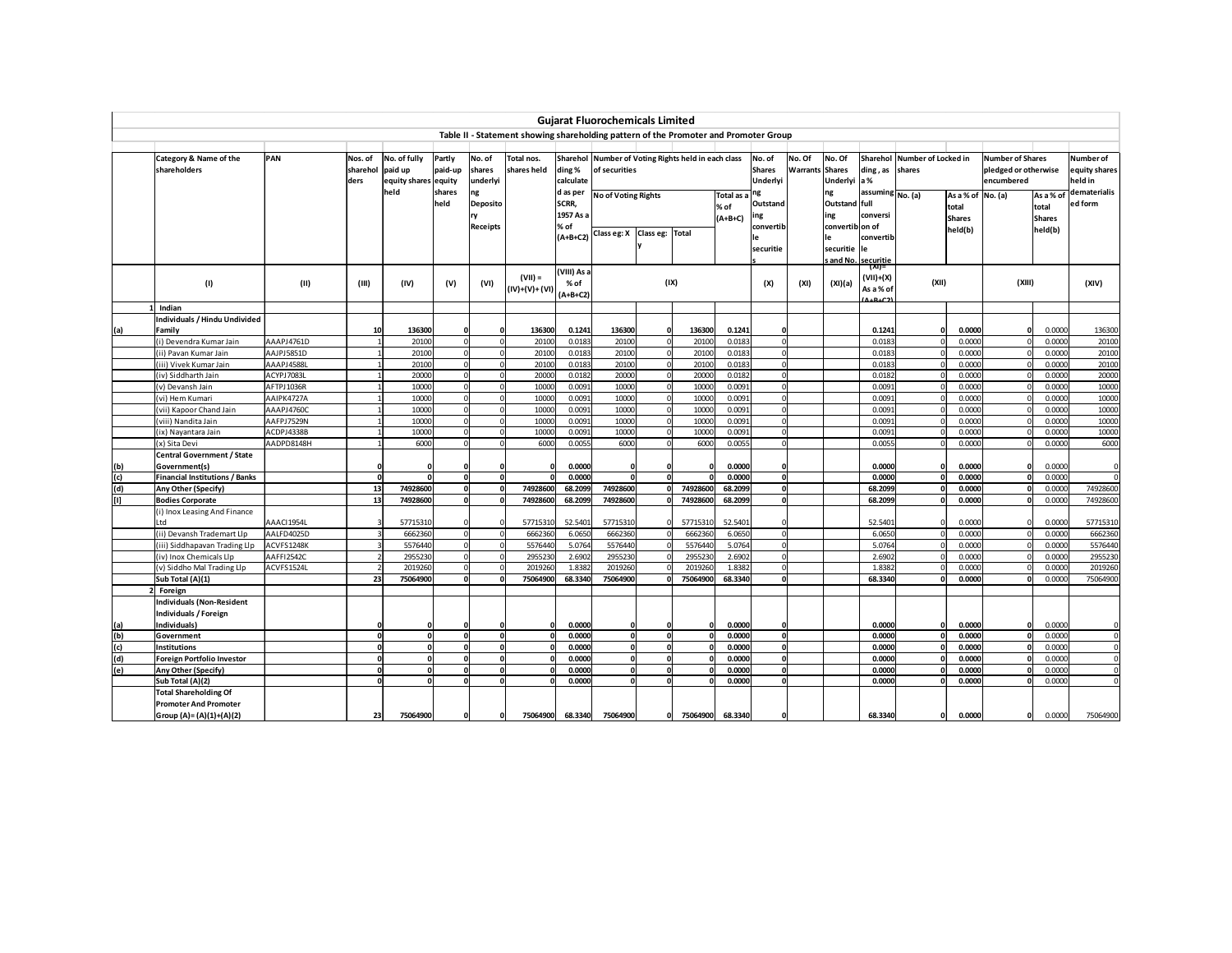|     |                                         |                          |                             |                                                 |                            |                                         |                                                                                      |                                                      | <b>Gujarat Fluorochemicals Limited</b>                               |                      |                |                               |                                                 |                   |                                                                     |                                               |                                        |                                                        |                                                               |                                        |                                       |
|-----|-----------------------------------------|--------------------------|-----------------------------|-------------------------------------------------|----------------------------|-----------------------------------------|--------------------------------------------------------------------------------------|------------------------------------------------------|----------------------------------------------------------------------|----------------------|----------------|-------------------------------|-------------------------------------------------|-------------------|---------------------------------------------------------------------|-----------------------------------------------|----------------------------------------|--------------------------------------------------------|---------------------------------------------------------------|----------------------------------------|---------------------------------------|
|     |                                         |                          |                             |                                                 |                            |                                         | Table II - Statement showing shareholding pattern of the Promoter and Promoter Group |                                                      |                                                                      |                      |                |                               |                                                 |                   |                                                                     |                                               |                                        |                                                        |                                                               |                                        |                                       |
|     |                                         |                          |                             |                                                 |                            |                                         |                                                                                      |                                                      |                                                                      |                      |                |                               |                                                 |                   |                                                                     |                                               |                                        |                                                        |                                                               |                                        |                                       |
|     | Category & Name of the<br>shareholders  | PAN                      | Nos. of<br>sharehol<br>ders | No. of fully<br>paid up<br>equity shares equity | Partly<br>paid-up          | No. of<br>shares<br>underlyi            | Total nos.<br>shares held                                                            | ding%<br>calculate                                   | Sharehol Number of Voting Rights held in each class<br>of securities |                      |                |                               | No. of<br><b>Shares</b><br>Underlyi             | No. Of<br>Warrant | No. Of<br><b>Shares</b><br>Underlyi                                 | ding, as<br>a%                                | Sharehol Number of Locked in<br>shares |                                                        | <b>Number of Shares</b><br>pledged or otherwise<br>encumbered |                                        | Number of<br>equity shares<br>held in |
|     |                                         |                          |                             | held                                            | shares<br>held             | ng<br><b>Deposito</b><br>ry<br>Receipts |                                                                                      | d as per<br>SCRR,<br>1957 As a<br>% of<br>$(A+B+C2)$ | No of Voting Rights<br>Class eg: X                                   | Class eg: Total      |                | Total as<br>% of<br>$(A+B+C)$ | ng<br>Outstand<br>ing<br>convertib<br>securitie |                   | ng<br>Outstand full<br>ing<br>convertiblon of<br>le<br>securitie le | assuming No. (a)<br>conversi<br>convertib     |                                        | As a % of No. (a)<br>total<br><b>Shares</b><br>held(b) |                                                               | As a % o<br>total<br>Shares<br>held(b) | dematerialis<br>ed form               |
|     | (1)                                     | (II)                     | (III)                       | (IV)                                            | (V)                        | (VI)                                    | $(VII) =$<br>(IV)+(V)+ (VI)                                                          | VIII) As a<br>% of<br>$(A+B+C2)$                     |                                                                      | (IX)                 |                |                               | (X)                                             | (XI)              | (XI)(a)                                                             | s and No. securitie<br>(VII)+(X)<br>As a % of | (XII)                                  |                                                        | (XIII)                                                        |                                        | (XIV)                                 |
|     | Indian                                  |                          |                             |                                                 |                            |                                         |                                                                                      |                                                      |                                                                      |                      |                |                               |                                                 |                   |                                                                     |                                               |                                        |                                                        |                                                               |                                        |                                       |
|     | ndividuals / Hindu Undivided            |                          |                             |                                                 |                            |                                         |                                                                                      |                                                      |                                                                      |                      |                |                               |                                                 |                   |                                                                     |                                               |                                        |                                                        |                                                               |                                        |                                       |
| (a) | Family                                  |                          | 10                          | 136300                                          | O                          |                                         | 136300                                                                               | 0.1241                                               | 136300                                                               |                      | 136300         | 0.1241                        |                                                 |                   |                                                                     | 0.1241                                        |                                        | 0.0000                                                 |                                                               | 0.0000                                 | 136300                                |
|     | i) Devendra Kumar Jain                  | AAAPJ4761D               |                             | 20100                                           | $\sqrt{2}$                 |                                         | 20100                                                                                | 0.0183                                               | 20100                                                                |                      | 20100          | 0.0183                        |                                                 |                   |                                                                     | 0.0183                                        |                                        | 0.0000                                                 |                                                               | 0.0000                                 | 20100                                 |
|     | ii) Pavan Kumar Jain                    | AAJPJ5851D               |                             | 20100                                           | $\Omega$                   |                                         | 20100                                                                                | 0.0183                                               | 20100                                                                | $\mathbf{0}$         | 20100          | 0.018                         |                                                 |                   |                                                                     | 0.0183                                        |                                        | 0.0000                                                 |                                                               | 0.0000                                 | 20100                                 |
|     | iii) Vivek Kumar Jain                   | AAAPJ4588I               |                             | 20100                                           | $\Omega$                   |                                         | 20100                                                                                | 0.0183                                               | 20100                                                                | $\Omega$             | 20100          | 0.018                         |                                                 |                   |                                                                     | 0.0183                                        |                                        | 0.0000                                                 |                                                               | 0.0000                                 | 20100                                 |
|     | iv) Siddharth Jain                      | ACYPJ7083L               |                             | 20000                                           | $\mathbf 0$<br>$\Omega$    |                                         | 20000                                                                                | 0.0182                                               | 20000                                                                | $\Omega$<br>$\Omega$ | 20000          | 0.0182                        |                                                 |                   |                                                                     | 0.0182                                        |                                        | 0.0000                                                 |                                                               | 0.0000                                 | 20000                                 |
|     | v) Devansh Jain                         | AFTPJ1036R               |                             | 10000                                           |                            |                                         | 10000                                                                                | 0.0091                                               | 10000                                                                | $\Omega$             | 10000          | 0.0091                        |                                                 |                   |                                                                     | 0.0091                                        |                                        | 0.0000                                                 |                                                               | 0.0000                                 | 10000                                 |
|     | vi) Hem Kumari                          | AAIPK4727A               |                             | 10000<br>10000                                  | $\Omega$<br>$\overline{0}$ |                                         | 10000                                                                                | 0.0091<br>0.0091                                     | 10000<br>10000                                                       | $\Omega$             | 10000          | 0.0091<br>0.009               |                                                 |                   |                                                                     | 0.0091                                        |                                        | 0.0000<br>0.0000                                       |                                                               | 0.0000<br>0.0000                       | 10000                                 |
|     | vii) Kapoor Chand Jain                  | AAAPJ4760C               |                             |                                                 |                            |                                         | 10000                                                                                |                                                      |                                                                      | $\Omega$             | 1000           |                               |                                                 |                   |                                                                     | 0.0091                                        |                                        |                                                        |                                                               |                                        | 10000                                 |
|     | viii) Nandita Jain                      | AAFPJ7529N               |                             | 10000<br>10000                                  | $\Omega$<br>n              |                                         | 10000<br>10000                                                                       | 0.0091<br>0.0091                                     | 10000<br>10000                                                       |                      | 10000<br>10000 | 0.0091                        |                                                 |                   |                                                                     | 0.0091<br>0.0091                              |                                        | 0.0000<br>0.0000                                       |                                                               | 0.0000<br>0.0000                       | 10000<br>10000                        |
|     | ix) Nayantara Jain<br>x) Sita Devi      | ACDPJ4338B<br>AADPD8148H |                             | 6000                                            |                            |                                         | 6000                                                                                 | 0.0055                                               | 6000                                                                 | $\Omega$             | 6000           | 0.0091<br>0.0055              |                                                 |                   |                                                                     | 0.0055                                        |                                        | 0.0000                                                 |                                                               | 0.0000                                 | 6000                                  |
|     | Central Government / State              |                          |                             |                                                 |                            |                                         |                                                                                      |                                                      |                                                                      |                      |                |                               |                                                 |                   |                                                                     |                                               |                                        |                                                        |                                                               |                                        |                                       |
| (b) | Government(s)                           |                          |                             |                                                 | $\Omega$                   |                                         | $\Omega$                                                                             | 0.0000                                               | $\Omega$                                                             |                      |                | 0.0000                        |                                                 |                   |                                                                     | 0.0000                                        |                                        | 0.0000                                                 |                                                               | 0.0000                                 | $\mathbf 0$                           |
| (c) | inancial Institutions / Banks           |                          |                             |                                                 | $\mathbf{0}$               |                                         |                                                                                      | 0.0000                                               |                                                                      | $\Omega$             |                | 0.0000                        |                                                 |                   |                                                                     | 0.0000                                        |                                        | 0.0000                                                 |                                                               | 0.0000                                 | $\mathbf 0$                           |
| (d) | Any Other (Specify)                     |                          | 13                          | 74928600                                        | O                          |                                         | 74928600                                                                             | 68.2099                                              | 74928600                                                             | nl                   | 74928600       | 68.2099                       |                                                 |                   |                                                                     | 68.2099                                       |                                        | 0.0000                                                 |                                                               | 0.0000                                 | 74928600                              |
| m   | <b>Bodies Corporate</b>                 |                          | 13                          | 74928600                                        | o                          |                                         | 74928600                                                                             | 68.2099                                              | 74928600                                                             |                      | 74928600       | 68.2099                       |                                                 |                   |                                                                     | 68.2099                                       |                                        | 0.0000                                                 |                                                               | 0.0000                                 | 74928600                              |
|     | (i) Inox Leasing And Finance            |                          |                             |                                                 |                            |                                         |                                                                                      |                                                      |                                                                      |                      |                |                               |                                                 |                   |                                                                     |                                               |                                        |                                                        |                                                               |                                        |                                       |
|     | .td                                     | AAACI1954L               |                             | 57715310                                        | C                          |                                         | 57715310                                                                             | 52.5401                                              | 57715310                                                             |                      | 5771531        | 52.5401                       |                                                 |                   |                                                                     | 52.5401                                       |                                        | 0.0000                                                 |                                                               | 0.0000                                 | 57715310                              |
|     | ii) Devansh Trademart Llp               | AALFD4025D               |                             | 6662360                                         | $\Omega$                   |                                         | 6662360                                                                              | 6.0650                                               | 6662360                                                              |                      | 6662360        | 6.0650                        |                                                 |                   |                                                                     | 6.0650                                        |                                        | 0.0000                                                 |                                                               | 0.0000                                 | 6662360                               |
|     | iii) Siddhapavan Trading Llp            | ACVFS1248K               |                             | 5576440                                         | $\Omega$                   |                                         | 5576440                                                                              | 5.0764                                               | 5576440                                                              |                      | 5576440        | 5.0764                        |                                                 |                   |                                                                     | 5.0764                                        |                                        | 0.0000                                                 |                                                               | 0.0000                                 | 5576440                               |
|     | iv) Inox Chemicals Llp                  | AAFFI2542C               |                             | 2955230                                         | $\Omega$                   |                                         | 2955230                                                                              | 2.6902                                               | 2955230                                                              |                      | 295523         | 2.6902                        |                                                 |                   |                                                                     | 2.6902                                        |                                        | 0.0000                                                 |                                                               | 0.0000                                 | 2955230                               |
|     | v) Siddho Mal Trading Llp               | ACVFS1524L               |                             | 2019260                                         | $\Omega$                   |                                         | 2019260                                                                              | 1.8382                                               | 2019260                                                              |                      | 201926         | 1.8382                        |                                                 |                   |                                                                     | 1.8382                                        |                                        | 0.0000                                                 |                                                               | 0.0000                                 | 2019260                               |
|     | Sub Total (A)(1)                        |                          | 23                          | 75064900                                        | O                          |                                         | 75064900                                                                             | 68.3340                                              | 75064900                                                             |                      | 75064900       | 68.3340                       |                                                 |                   |                                                                     | 68.3340                                       |                                        | 0.0000                                                 |                                                               | 0.0000                                 | 75064900                              |
|     | Foreign                                 |                          |                             |                                                 |                            |                                         |                                                                                      |                                                      |                                                                      |                      |                |                               |                                                 |                   |                                                                     |                                               |                                        |                                                        |                                                               |                                        |                                       |
|     | ndividuals (Non-Resident                |                          |                             |                                                 |                            |                                         |                                                                                      |                                                      |                                                                      |                      |                |                               |                                                 |                   |                                                                     |                                               |                                        |                                                        |                                                               |                                        |                                       |
|     | ndividuals / Foreign                    |                          |                             |                                                 |                            |                                         |                                                                                      |                                                      |                                                                      |                      |                |                               |                                                 |                   |                                                                     |                                               |                                        |                                                        |                                                               |                                        |                                       |
| (a) | ndividuals)                             |                          |                             |                                                 | r                          |                                         | $\Omega$                                                                             | 0.0000                                               | 0                                                                    |                      |                | 0.0000                        |                                                 |                   |                                                                     | 0.0000                                        |                                        | 0.0000                                                 |                                                               | 0.0000                                 |                                       |
| (b) | Government                              |                          |                             |                                                 | O                          |                                         | $\mathbf{0}$                                                                         | 0.0000                                               | $\mathbf 0$                                                          | 0                    |                | 0.0000                        |                                                 |                   |                                                                     | 0.0000                                        |                                        | 0.0000                                                 |                                                               | 0.0000                                 | $\mathbf 0$                           |
| (c) | nstitutions                             |                          |                             |                                                 | o<br>$\Omega$              |                                         | $\Omega$                                                                             | 0.0000                                               | $\mathbf 0$<br>$\mathbf{0}$                                          | $\Omega$<br>o        |                | 0.0000<br>0.0000              |                                                 |                   |                                                                     | 0.0000                                        |                                        | 0.0000                                                 |                                                               | 0.0000                                 | $\mathbf 0$                           |
| (d) | Foreign Portfolio Investor              |                          |                             |                                                 | O                          |                                         |                                                                                      | 0.0000<br>0.0000                                     | o                                                                    | $\mathbf{0}$         |                | 0.0000                        |                                                 |                   |                                                                     | 0.0000<br>0.0000                              |                                        | 0.0000<br>0.0000                                       |                                                               | 0.0000<br>0.0000                       | $\mathbf 0$<br>$\mathbf 0$            |
| (e) | Any Other (Specify)<br>Sub Total (A)(2) |                          |                             |                                                 |                            |                                         |                                                                                      | 0.0000                                               | $\mathbf{0}$                                                         |                      |                | 0.0000                        |                                                 |                   |                                                                     | 0.0000                                        |                                        | 0.0000                                                 |                                                               | 0.0000                                 | $\Omega$                              |
|     | <b>Total Shareholding Of</b>            |                          |                             |                                                 |                            |                                         |                                                                                      |                                                      |                                                                      |                      |                |                               |                                                 |                   |                                                                     |                                               |                                        |                                                        |                                                               |                                        |                                       |
|     | <b>Promoter And Promoter</b>            |                          |                             |                                                 |                            |                                         |                                                                                      |                                                      |                                                                      |                      |                |                               |                                                 |                   |                                                                     |                                               |                                        |                                                        |                                                               |                                        |                                       |
|     | Group (A)= (A)(1)+(A)(2)                |                          | 23                          | 75064900                                        | O                          |                                         | 75064900                                                                             | 68.3340                                              | 75064900                                                             | ΩI                   | 75064900       | 68.3340                       |                                                 |                   |                                                                     | 68.3340                                       | O                                      | 0.0000                                                 |                                                               | 0.0000                                 | 75064900                              |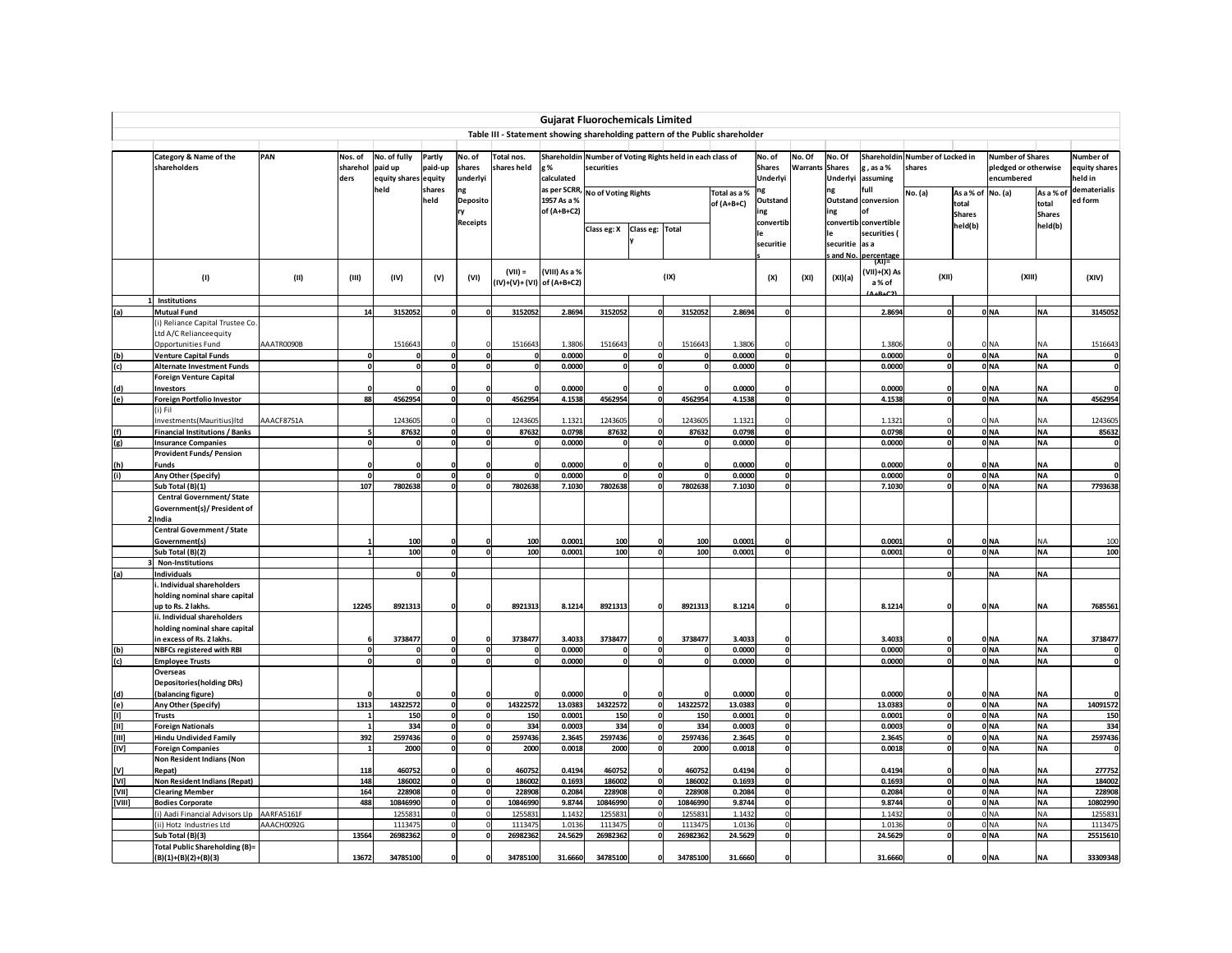|                                                                                                                                                                                                                                                                                                                                                                                                                                                                                                                                                                                                   |                                                            |                          |                             |                                                 |                          |                              |                                                                              |                                            | <b>Gujarat Fluorochemicals Limited</b> |                 |                                                           |                            |                                     |                   |                                     |                                               |                                           |                                             |                                                               |                                     |                                     |
|---------------------------------------------------------------------------------------------------------------------------------------------------------------------------------------------------------------------------------------------------------------------------------------------------------------------------------------------------------------------------------------------------------------------------------------------------------------------------------------------------------------------------------------------------------------------------------------------------|------------------------------------------------------------|--------------------------|-----------------------------|-------------------------------------------------|--------------------------|------------------------------|------------------------------------------------------------------------------|--------------------------------------------|----------------------------------------|-----------------|-----------------------------------------------------------|----------------------------|-------------------------------------|-------------------|-------------------------------------|-----------------------------------------------|-------------------------------------------|---------------------------------------------|---------------------------------------------------------------|-------------------------------------|-------------------------------------|
|                                                                                                                                                                                                                                                                                                                                                                                                                                                                                                                                                                                                   |                                                            |                          |                             |                                                 |                          |                              | Table III - Statement showing shareholding pattern of the Public shareholder |                                            |                                        |                 |                                                           |                            |                                     |                   |                                     |                                               |                                           |                                             |                                                               |                                     |                                     |
|                                                                                                                                                                                                                                                                                                                                                                                                                                                                                                                                                                                                   | Category & Name of the<br>shareholders                     | PAN                      | Nos. of<br>sharehol<br>ders | No. of fully<br>paid up<br>equity shares equity | Partly<br>paid-up        | No. of<br>shares<br>underlyi | Total nos.<br>shares held                                                    | g %<br>calculated                          | securities                             |                 | Shareholdin Number of Voting Rights held in each class of |                            | No. of<br><b>Shares</b><br>Underlyi | No. Of<br>Warrant | No. Of<br><b>Shares</b><br>Underlyi | z, as a %<br>assuming                         | Shareholdin Number of Locked in<br>shares |                                             | <b>Number of Shares</b><br>pledged or otherwise<br>encumbered |                                     | Number of<br>quity shares<br>eld in |
|                                                                                                                                                                                                                                                                                                                                                                                                                                                                                                                                                                                                   |                                                            |                          |                             | held                                            | shares<br>held           | ng<br>Deposito<br>ry         |                                                                              | as per SCRR,<br>1957 As a %<br>of (A+B+C2) | <b>No of Voting Rights</b>             |                 |                                                           | Total as a %<br>of (A+B+C) | ng<br>Outstand<br>ing               |                   | ng<br>ing                           | ull<br>Outstand conversion<br>of              | No. (a)                                   | As a % of No. (a)<br>total<br><b>Shares</b> |                                                               | As a % of<br>total<br><b>Shares</b> | dematerialis<br>ed form             |
|                                                                                                                                                                                                                                                                                                                                                                                                                                                                                                                                                                                                   |                                                            |                          |                             |                                                 |                          | <b>Receipts</b>              |                                                                              |                                            | Class eg: X                            | Class eg: Total |                                                           |                            | convertib<br>securitie              |                   | securitie                           | convertib convertible<br>securities (<br>as a |                                           | held(b)                                     |                                                               | held(b)                             |                                     |
|                                                                                                                                                                                                                                                                                                                                                                                                                                                                                                                                                                                                   | (1)                                                        | (11)                     | (III)                       | (IV)                                            | (V)                      | (VI)                         | $(VII) =$<br>(IV)+(V)+ (VI) of (A+B+C2)                                      | (VIII) As a %                              |                                        |                 | (IX)                                                      |                            | (X)                                 | (XI)              | and No.<br>(XI)(a)                  | percentage<br>(XI)=<br>(VII)+(X) As<br>a% of  | (XII)                                     |                                             | (XIII)                                                        |                                     | (XIV)                               |
|                                                                                                                                                                                                                                                                                                                                                                                                                                                                                                                                                                                                   | 1 Institutions                                             |                          |                             |                                                 |                          |                              |                                                                              |                                            |                                        |                 |                                                           |                            |                                     |                   |                                     | $ALB+C2$                                      |                                           |                                             |                                                               |                                     |                                     |
| (a)                                                                                                                                                                                                                                                                                                                                                                                                                                                                                                                                                                                               | <b>Mutual Fund</b>                                         |                          | 14                          | 3152052                                         | 0                        |                              | 3152052                                                                      | 2.8694                                     | 3152052                                |                 | 3152052                                                   | 2.8694                     |                                     |                   |                                     | 2.8694                                        | o                                         |                                             | 0 NA                                                          | <b>NA</b>                           | 3145052                             |
|                                                                                                                                                                                                                                                                                                                                                                                                                                                                                                                                                                                                   | (i) Reliance Capital Trustee Co.<br>Ltd A/C Relianceequity |                          |                             |                                                 |                          |                              |                                                                              |                                            |                                        |                 |                                                           |                            |                                     |                   |                                     |                                               |                                           |                                             |                                                               |                                     |                                     |
|                                                                                                                                                                                                                                                                                                                                                                                                                                                                                                                                                                                                   | Opportunities Fund                                         | AAATR0090B               |                             | 1516643                                         |                          |                              | 1516643                                                                      | 1.3806                                     | 1516643                                |                 | 1516643                                                   | 1.3806                     |                                     |                   |                                     | 1.3806                                        |                                           |                                             | 0 NA                                                          | NΑ                                  | 1516643                             |
| (b)                                                                                                                                                                                                                                                                                                                                                                                                                                                                                                                                                                                               | <b>Venture Capital Funds</b>                               |                          | o                           | $\mathbf{0}$                                    | $\mathbf{o}$             |                              | O                                                                            | 0.0000                                     |                                        | $\mathbf{0}$    |                                                           | 0.0000                     |                                     |                   |                                     | 0.0000                                        | ō                                         |                                             | 0 <sub>NA</sub>                                               | <b>NA</b>                           |                                     |
| (c)                                                                                                                                                                                                                                                                                                                                                                                                                                                                                                                                                                                               | <b>Alternate Investment Funds</b>                          |                          | 0                           | $\Omega$                                        | $\mathbf{0}$             |                              | $\mathbf{o}$                                                                 | 0.0000                                     |                                        | $\mathbf{0}$    | $\mathbf{0}$                                              | 0.0000                     |                                     |                   |                                     | 0.0000                                        | o                                         |                                             | 0 NA                                                          | <b>NA</b>                           |                                     |
|                                                                                                                                                                                                                                                                                                                                                                                                                                                                                                                                                                                                   | <b>Foreign Venture Capital</b>                             |                          |                             |                                                 |                          |                              |                                                                              |                                            |                                        |                 |                                                           |                            |                                     |                   |                                     |                                               |                                           |                                             |                                                               | <b>NA</b>                           |                                     |
| (d)<br>(e)                                                                                                                                                                                                                                                                                                                                                                                                                                                                                                                                                                                        | Investors<br>Foreign Portfolio Investor                    |                          | 88                          | 4562954                                         | 0                        |                              | 4562954                                                                      | 0.0000<br>4.1538                           | 4562954                                |                 | 4562954                                                   | 0.0000<br>4.1538           |                                     |                   |                                     | 0.0000<br>4.1538                              | o                                         |                                             | 0 NA<br>ONA                                                   | <b>NA</b>                           | 4562954                             |
|                                                                                                                                                                                                                                                                                                                                                                                                                                                                                                                                                                                                   | (i) Fil                                                    |                          |                             |                                                 |                          |                              |                                                                              |                                            |                                        |                 |                                                           |                            |                                     |                   |                                     |                                               |                                           |                                             |                                                               |                                     |                                     |
|                                                                                                                                                                                                                                                                                                                                                                                                                                                                                                                                                                                                   | Investments(Mauritius)Itd                                  | AAACF8751A               |                             | 1243605                                         |                          |                              | 1243605                                                                      | 1.1321                                     | 1243605                                |                 | 1243605                                                   | 1.1321                     |                                     |                   |                                     | 1.1321                                        |                                           |                                             | 0 NA                                                          | NA                                  | 124360                              |
| (f)                                                                                                                                                                                                                                                                                                                                                                                                                                                                                                                                                                                               | <b>Financial Institutions / Banks</b>                      |                          | 5                           | 87632                                           | $\mathbf{o}$             |                              | 87632                                                                        | 0.0798                                     | 87632                                  |                 | 87632                                                     | 0.0798                     |                                     |                   |                                     | 0.0798                                        | o                                         |                                             | ONA                                                           | <b>NA</b>                           | 85632                               |
| (g)                                                                                                                                                                                                                                                                                                                                                                                                                                                                                                                                                                                               | <b>Insurance Companies</b>                                 |                          | o                           | $\Omega$                                        | $\mathbf{0}$             |                              | $\Omega$                                                                     | 0.0000                                     |                                        |                 | $\Omega$                                                  | 0.0000                     |                                     |                   |                                     | 0.0000                                        | o                                         |                                             | 0 NA                                                          | <b>NA</b>                           |                                     |
|                                                                                                                                                                                                                                                                                                                                                                                                                                                                                                                                                                                                   | <b>Provident Funds/ Pension</b>                            |                          |                             |                                                 |                          |                              |                                                                              |                                            |                                        |                 |                                                           |                            |                                     |                   |                                     |                                               |                                           |                                             |                                                               |                                     |                                     |
| (h)                                                                                                                                                                                                                                                                                                                                                                                                                                                                                                                                                                                               | <b>Funds</b>                                               |                          | $\Omega$                    | n                                               | $\Omega$                 |                              |                                                                              | 0.0000                                     |                                        |                 |                                                           | 0.0000                     |                                     |                   |                                     | 0.0000                                        | o                                         |                                             | ONA                                                           | <b>NA</b>                           |                                     |
| (i)                                                                                                                                                                                                                                                                                                                                                                                                                                                                                                                                                                                               | Any Other (Specify)                                        |                          | $\mathbf{0}$                | $\Omega$                                        | $\mathbf{o}$             |                              | $\mathbf{0}$                                                                 | 0.0000                                     |                                        |                 |                                                           | 0.0000                     |                                     |                   |                                     | 0.0000                                        | $\mathbf{0}$<br>o                         |                                             | 0 NA                                                          | <b>NA</b>                           |                                     |
|                                                                                                                                                                                                                                                                                                                                                                                                                                                                                                                                                                                                   | Sub Total (B)(1)<br><b>Central Government/ State</b>       |                          | 107                         | 7802638                                         | $\mathbf{0}$             |                              | 7802638                                                                      | 7.1030                                     | 7802638                                | $\Omega$        | 7802638                                                   | 7.1030                     |                                     |                   |                                     | 7.1030                                        |                                           |                                             | 0 NA                                                          | <b>NA</b>                           | 7793638                             |
|                                                                                                                                                                                                                                                                                                                                                                                                                                                                                                                                                                                                   | Government(s)/ President of<br>2 India                     |                          |                             |                                                 |                          |                              |                                                                              |                                            |                                        |                 |                                                           |                            |                                     |                   |                                     |                                               |                                           |                                             |                                                               |                                     |                                     |
|                                                                                                                                                                                                                                                                                                                                                                                                                                                                                                                                                                                                   | <b>Central Government / State</b>                          |                          |                             |                                                 |                          |                              |                                                                              |                                            |                                        |                 |                                                           |                            |                                     |                   |                                     |                                               |                                           |                                             |                                                               |                                     |                                     |
|                                                                                                                                                                                                                                                                                                                                                                                                                                                                                                                                                                                                   | Government(s)                                              |                          |                             | 100                                             | $\Omega$                 |                              | 100                                                                          | 0.0001                                     | 100                                    |                 | 100                                                       | 0.0001                     |                                     |                   |                                     | 0.0001                                        | O                                         |                                             | 0 NA                                                          | NΑ                                  | 100                                 |
|                                                                                                                                                                                                                                                                                                                                                                                                                                                                                                                                                                                                   | Sub Total (B)(2)                                           |                          | $\mathbf{1}$                | 100                                             | $\mathbf{o}$             |                              | 100                                                                          | 0.0001                                     | 100                                    |                 | 100                                                       | 0.0001                     |                                     |                   |                                     | 0.0001                                        | o                                         |                                             | 0 NA                                                          | <b>NA</b>                           | 100                                 |
|                                                                                                                                                                                                                                                                                                                                                                                                                                                                                                                                                                                                   | 3 Non-Institutions                                         |                          |                             |                                                 |                          |                              |                                                                              |                                            |                                        |                 |                                                           |                            |                                     |                   |                                     |                                               |                                           |                                             |                                                               |                                     |                                     |
| (a)                                                                                                                                                                                                                                                                                                                                                                                                                                                                                                                                                                                               | Individuals                                                |                          |                             | $\mathbf 0$                                     | $\mathbf{0}$             |                              |                                                                              |                                            |                                        |                 |                                                           |                            |                                     |                   |                                     |                                               | $\mathbf{0}$                              |                                             | <b>NA</b>                                                     | NA                                  |                                     |
|                                                                                                                                                                                                                                                                                                                                                                                                                                                                                                                                                                                                   | i. Individual shareholders                                 |                          |                             |                                                 |                          |                              |                                                                              |                                            |                                        |                 |                                                           |                            |                                     |                   |                                     |                                               |                                           |                                             |                                                               |                                     |                                     |
|                                                                                                                                                                                                                                                                                                                                                                                                                                                                                                                                                                                                   | holding nominal share capital<br>up to Rs. 2 lakhs.        |                          | 12245                       | 8921313                                         | $\Omega$                 |                              | 8921313                                                                      | 8.1214                                     | 8921313                                | $\mathbf{0}$    | 8921313                                                   | 8.1214                     |                                     |                   |                                     | 8.1214                                        | o                                         |                                             | ONA                                                           | <b>NA</b>                           | 7685561                             |
|                                                                                                                                                                                                                                                                                                                                                                                                                                                                                                                                                                                                   | ii. Individual shareholders                                |                          |                             |                                                 |                          |                              |                                                                              |                                            |                                        |                 |                                                           |                            |                                     |                   |                                     |                                               |                                           |                                             |                                                               |                                     |                                     |
|                                                                                                                                                                                                                                                                                                                                                                                                                                                                                                                                                                                                   | holding nominal share capital                              |                          |                             |                                                 |                          |                              |                                                                              |                                            |                                        |                 |                                                           |                            |                                     |                   |                                     |                                               |                                           |                                             |                                                               |                                     |                                     |
|                                                                                                                                                                                                                                                                                                                                                                                                                                                                                                                                                                                                   | in excess of Rs. 2 lakhs.                                  |                          |                             | 3738477                                         |                          |                              | 3738477                                                                      | 3.4033                                     | 3738477                                |                 | 3738477                                                   | 3.4033                     |                                     |                   |                                     | 3.4033                                        | $\Omega$                                  |                                             | ONA                                                           | ΝA                                  | 3738477                             |
| (b)                                                                                                                                                                                                                                                                                                                                                                                                                                                                                                                                                                                               | <b>NBFCs registered with RBI</b>                           |                          | 0                           | $\Omega$                                        | 0                        | 0                            | $\mathbf 0$                                                                  | 0.0000                                     |                                        | $\mathbf{o}$    | $\mathbf 0$                                               | 0.0000                     | $\Omega$                            |                   |                                     | 0.0000                                        | $\circ$                                   |                                             | 0 NA                                                          | <b>NA</b>                           |                                     |
| (c)                                                                                                                                                                                                                                                                                                                                                                                                                                                                                                                                                                                               | <b>Employee Trusts</b>                                     |                          | ol                          | $\Omega$                                        | $\mathbf{o}$             |                              | 0                                                                            | 0.0000                                     |                                        |                 | $\Omega$                                                  | 0.0000                     |                                     |                   |                                     | 0.0000                                        | o                                         |                                             | 0 NA                                                          | <b>NA</b>                           |                                     |
|                                                                                                                                                                                                                                                                                                                                                                                                                                                                                                                                                                                                   | Overseas                                                   |                          |                             |                                                 |                          |                              |                                                                              |                                            |                                        |                 |                                                           |                            |                                     |                   |                                     |                                               |                                           |                                             |                                                               |                                     |                                     |
|                                                                                                                                                                                                                                                                                                                                                                                                                                                                                                                                                                                                   | <b>Depositories</b> (holding DRs)                          |                          |                             |                                                 |                          |                              |                                                                              |                                            |                                        |                 |                                                           |                            |                                     |                   |                                     |                                               |                                           |                                             |                                                               |                                     |                                     |
| (d)                                                                                                                                                                                                                                                                                                                                                                                                                                                                                                                                                                                               | (balancing figure)                                         |                          |                             |                                                 |                          |                              | 14322572                                                                     | 0.0000                                     | 14322572                               |                 | 14322572                                                  | 0.0000                     |                                     |                   |                                     | 0.0000                                        | o                                         |                                             | ONA                                                           | <b>NA</b>                           |                                     |
| (e)<br>$[1]$                                                                                                                                                                                                                                                                                                                                                                                                                                                                                                                                                                                      | Any Other (Specify)<br><b>Trusts</b>                       |                          | 1313<br>$\mathbf{1}$        | 14322572<br>150                                 | 0 <br><sub>o</sub>       | Ō                            | 150                                                                          | 13.0383<br>0.0001                          | 150                                    | 0<br>$\Omega$   | 150                                                       | 13.0383<br>0.0001          |                                     |                   |                                     | 13.0383<br>0.0001                             | $\mathbf{0}$                              |                                             | 0 <sub>NA</sub><br>0 NA                                       | <b>NA</b><br><b>NA</b>              | 14091572<br>150                     |
| $[1]$                                                                                                                                                                                                                                                                                                                                                                                                                                                                                                                                                                                             | <b>Foreign Nationals</b>                                   |                          | $1\overline{ }$             | 334                                             | 0                        | n                            | 334                                                                          | 0.0003                                     | 334                                    | $\mathbf{0}$    | 334                                                       | 0.0003                     |                                     |                   |                                     | 0.0003                                        | o                                         |                                             | <b>O</b> NA                                                   | <b>NA</b>                           | 334                                 |
| $[III] \centering% \subfloat[\centering]{{\includegraphics[width=0.28\textwidth]{figs-pr2.png}}% \qquad \subfloat[\centering]{{\includegraphics[width=0.28\textwidth]{figs-pr2.png}}% \qquad \subfloat[\centering]{{\includegraphics[width=0.28\textwidth]{figs-pr2.png}}% \qquad \subfloat[\centering]{{\includegraphics[width=0.28\textwidth]{figs-pr2.png}}% \qquad \subfloat[\centering]{{\includegraphics[width=0.28\textwidth]{figs-pr2.png}}% \qquad \subfloat[\centering]{{\includegraphics[width=0.28\textwidth]{figs-pr2.png}}% \qquad \subfloat[\centering]{{\includegraphics[width=0$ | <b>Hindu Undivided Family</b>                              |                          | 392                         | 2597436                                         | $\mathbf{o}$             |                              | 2597436                                                                      | 2.3645                                     | 2597436                                | $\mathbf 0$     | 2597436                                                   | 2.3645                     |                                     |                   |                                     | 2.3645                                        | o                                         |                                             | 0 NA                                                          | <b>NA</b>                           | 2597436                             |
| [IV]                                                                                                                                                                                                                                                                                                                                                                                                                                                                                                                                                                                              | <b>Foreign Companies</b>                                   |                          | $\mathbf{1}$                | 2000                                            | $\mathbf{o}$             |                              | 2000                                                                         | 0.0018                                     | 2000                                   | $\Omega$        | 2000                                                      | 0.0018                     |                                     |                   |                                     | 0.0018                                        | o                                         |                                             | 0 NA                                                          | <b>NA</b>                           |                                     |
|                                                                                                                                                                                                                                                                                                                                                                                                                                                                                                                                                                                                   | Non Resident Indians (Non                                  |                          |                             |                                                 |                          |                              |                                                                              |                                            |                                        |                 |                                                           |                            |                                     |                   |                                     |                                               |                                           |                                             |                                                               |                                     |                                     |
| [V]                                                                                                                                                                                                                                                                                                                                                                                                                                                                                                                                                                                               | Repat)                                                     |                          | 118                         | 460752                                          |                          |                              | 460752                                                                       | 0.4194                                     | 460752                                 |                 | 460752                                                    | 0.4194                     |                                     |                   |                                     | 0.4194                                        |                                           |                                             | 0 NA                                                          | <b>NA</b>                           | 277752                              |
| [V1]                                                                                                                                                                                                                                                                                                                                                                                                                                                                                                                                                                                              | Non Resident Indians (Repat)                               |                          | 148                         | 186002                                          | $\mathbf{0}$             |                              | 186002                                                                       | 0.1693                                     | 186002                                 |                 | 186002                                                    | 0.1693                     |                                     |                   |                                     | 0.1693                                        | o                                         |                                             | 0 NA                                                          | <b>NA</b>                           | 184002                              |
| [VII]                                                                                                                                                                                                                                                                                                                                                                                                                                                                                                                                                                                             | <b>Clearing Member</b>                                     |                          | 164                         | 228908                                          | 0                        |                              | 228908                                                                       | 0.2084                                     | 228908                                 | $\mathbf{0}$    | 228908                                                    | 0.2084                     | $\Omega$                            |                   |                                     | 0.2084                                        | $\mathbf{0}$                              |                                             | 0 NA                                                          | <b>NA</b>                           | 228908                              |
| [VIII]                                                                                                                                                                                                                                                                                                                                                                                                                                                                                                                                                                                            | <b>Bodies Corporate</b>                                    |                          | 488                         | 10846990                                        | <sub>o</sub>             | ol                           | 10846990                                                                     | 9.8744                                     | 10846990                               | $\mathbf{0}$    | 10846990                                                  | 9.8744                     | $\Omega$                            |                   |                                     | 9.8744                                        | o                                         |                                             | 0 <sub>NA</sub>                                               | <b>NA</b>                           | 10802990                            |
|                                                                                                                                                                                                                                                                                                                                                                                                                                                                                                                                                                                                   | (i) Aadi Financial Advisors Llp                            | AARFA5161F<br>AAACH0092G |                             | 1255831<br>1113475                              | $\Omega$<br>$\mathbf{0}$ |                              | 1255831<br>1113475                                                           | 1.1432<br>1.0136                           | 125583<br>111347                       |                 | 125583:<br>1113475                                        | 1.143<br>1.0136            |                                     |                   |                                     | 1.1432<br>1.0136                              | $\Omega$                                  |                                             | 0 NA<br>0 <sub>NA</sub>                                       | NA<br><b>NA</b>                     | 125583<br>111347                    |
|                                                                                                                                                                                                                                                                                                                                                                                                                                                                                                                                                                                                   | (ii) Hotz Industries Ltd<br>Sub Total (B)(3)               |                          | 13564                       | 26982362                                        | $\mathbf{o}$             | $\mathbf{0}$                 | 26982362                                                                     | 24.5629                                    | 26982362                               | $\mathbf{0}$    | 26982362                                                  | 24.5629                    | $\Omega$                            |                   |                                     | 24.5629                                       | $\circ$                                   |                                             | 0 <sub>NA</sub>                                               | <b>NA</b>                           | 25515610                            |
|                                                                                                                                                                                                                                                                                                                                                                                                                                                                                                                                                                                                   | <b>Total Public Shareholding (B)=</b>                      |                          |                             |                                                 |                          |                              |                                                                              |                                            |                                        |                 |                                                           |                            |                                     |                   |                                     |                                               |                                           |                                             |                                                               |                                     |                                     |
|                                                                                                                                                                                                                                                                                                                                                                                                                                                                                                                                                                                                   | $(B)(1)+(B)(2)+(B)(3)$                                     |                          | 13672                       | 34785100                                        |                          |                              | 34785100                                                                     | 31.6660                                    | 34785100                               | 0               | 34785100                                                  | 31.6660                    |                                     |                   |                                     | 31.6660                                       | o                                         |                                             | ONA                                                           | <b>NA</b>                           | 33309348                            |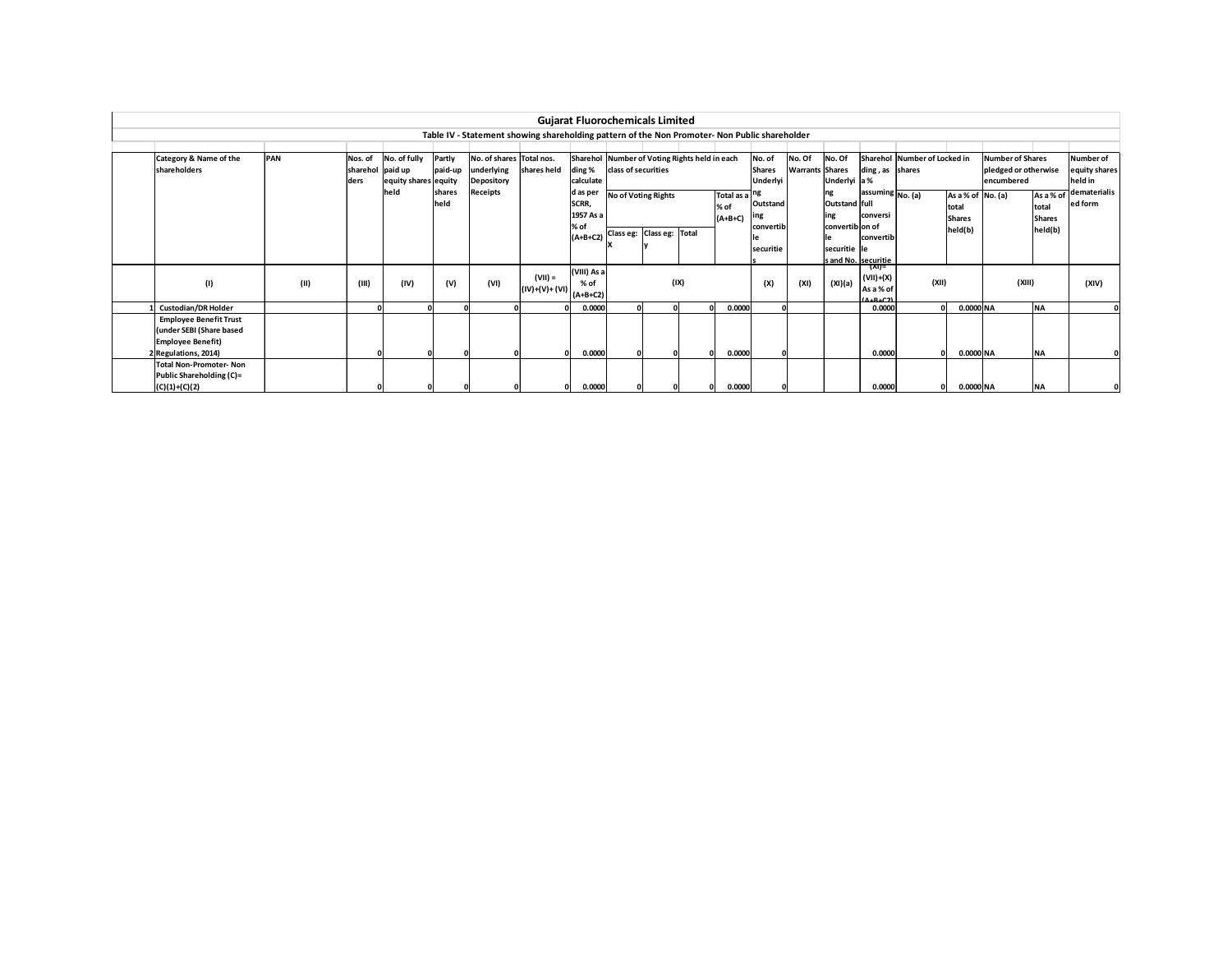|                                |      |                  |                      |         |                                                                                               |                               | <b>Gujarat Fluorochemicals Limited</b>        |                           |                     |      |            |                  |                        |                         |                             |                              |                   |                         |               |                        |
|--------------------------------|------|------------------|----------------------|---------|-----------------------------------------------------------------------------------------------|-------------------------------|-----------------------------------------------|---------------------------|---------------------|------|------------|------------------|------------------------|-------------------------|-----------------------------|------------------------------|-------------------|-------------------------|---------------|------------------------|
|                                |      |                  |                      |         | Table IV - Statement showing shareholding pattern of the Non Promoter- Non Public shareholder |                               |                                               |                           |                     |      |            |                  |                        |                         |                             |                              |                   |                         |               |                        |
|                                |      |                  |                      |         |                                                                                               |                               |                                               |                           |                     |      |            |                  |                        |                         |                             |                              |                   |                         |               |                        |
| Category & Name of the         | PAN  | Nos. of          | No. of fully         | Partly  | No. of shares Total nos.                                                                      |                               | Sharehol Number of Voting Rights held in each |                           |                     |      |            | No. of           | No. Of                 | No. Of                  |                             | Sharehol Number of Locked in |                   | <b>Number of Shares</b> |               | Number of              |
| shareholders                   |      | sharehol paid up |                      | paid-up | underlying                                                                                    | shares held                   | ding %                                        | class of securities       |                     |      |            | <b>Shares</b>    | <b>Warrants Shares</b> |                         | ding, as shares             |                              |                   | pledged or otherwise    |               | equity shares          |
|                                |      | ders             | equity shares equity |         | Depository                                                                                    |                               | calculate                                     |                           |                     |      |            | Underlyi         |                        | Underlyi a %            |                             |                              |                   | lencumbered             |               | held in                |
|                                |      |                  | held                 | shares  | Receipts                                                                                      |                               | d as per                                      |                           | No of Voting Rights |      | Total as a |                  |                        |                         | assuming No. (a)            |                              | As a % of No. (a) |                         |               | As a % of dematerialis |
|                                |      |                  |                      | held    |                                                                                               |                               | SCRR,                                         |                           |                     |      | % of       | Outstand         |                        | Outstand full           |                             |                              | total             |                         | total         | ed form                |
|                                |      |                  |                      |         |                                                                                               |                               | 1957 As a<br>% of                             |                           |                     |      | $(A+B+C)$  | ing<br>convertib |                        | ling<br>convertib on of | conversi                    |                              | <b>Shares</b>     |                         | <b>Shares</b> |                        |
|                                |      |                  |                      |         |                                                                                               |                               | $(A+B+C2)$                                    | Class eg: Class eg: Total |                     |      |            |                  |                        |                         | convertib                   |                              | held(b)           |                         | held(b)       |                        |
|                                |      |                  |                      |         |                                                                                               |                               |                                               |                           |                     |      |            | securitie        |                        | securitie lle           |                             |                              |                   |                         |               |                        |
|                                |      |                  |                      |         |                                                                                               |                               |                                               |                           |                     |      |            |                  |                        |                         | s and No. securitie         |                              |                   |                         |               |                        |
|                                |      |                  |                      |         |                                                                                               |                               | (VIII) As a                                   |                           |                     |      |            |                  |                        |                         | ⊺(XI)≡                      |                              |                   |                         |               |                        |
| (1)                            | (11) | (III)            | (IV)                 | (V)     | (VI)                                                                                          | $(VII) =$                     |                                               |                           |                     | (IX) |            | (X)              | (XI)                   | (XI)(a)                 | $(VII)+(X)$                 | (XII)                        |                   | (XIII)                  |               | (XIV)                  |
|                                |      |                  |                      |         |                                                                                               | $ (IV)+(V)+(VI) $ $(A+B+C2) $ |                                               |                           |                     |      |            |                  |                        |                         | As a % of<br><b>ALBLC21</b> |                              |                   |                         |               |                        |
| <b>Custodian/DR Holder</b>     |      |                  |                      |         |                                                                                               |                               | 0.0000                                        |                           |                     |      | 0.0000     |                  |                        |                         | 0.0000                      |                              | 0.0000 NA         |                         | <b>NA</b>     |                        |
| <b>Employee Benefit Trust</b>  |      |                  |                      |         |                                                                                               |                               |                                               |                           |                     |      |            |                  |                        |                         |                             |                              |                   |                         |               |                        |
| (under SEBI (Share based       |      |                  |                      |         |                                                                                               |                               |                                               |                           |                     |      |            |                  |                        |                         |                             |                              |                   |                         |               |                        |
| <b>Employee Benefit)</b>       |      |                  |                      |         |                                                                                               |                               |                                               |                           |                     |      |            |                  |                        |                         |                             |                              |                   |                         |               |                        |
| 2 Regulations, 2014)           |      |                  |                      |         |                                                                                               |                               | 0.0000                                        |                           |                     |      | 0.0000     |                  |                        |                         | 0.0000                      |                              | 0.0000 NA         |                         | <b>NA</b>     |                        |
| <b>Total Non-Promoter- Non</b> |      |                  |                      |         |                                                                                               |                               |                                               |                           |                     |      |            |                  |                        |                         |                             |                              |                   |                         |               |                        |
| Public Shareholding (C)=       |      |                  |                      |         |                                                                                               |                               |                                               |                           |                     |      |            |                  |                        |                         |                             |                              |                   |                         |               |                        |
| $(C)(1)+(C)(2)$                |      |                  |                      |         |                                                                                               |                               | 0.0000                                        |                           |                     |      | 0.0000     |                  |                        |                         | 0.0000                      | n                            | 0.0000 NA         |                         | <b>NA</b>     |                        |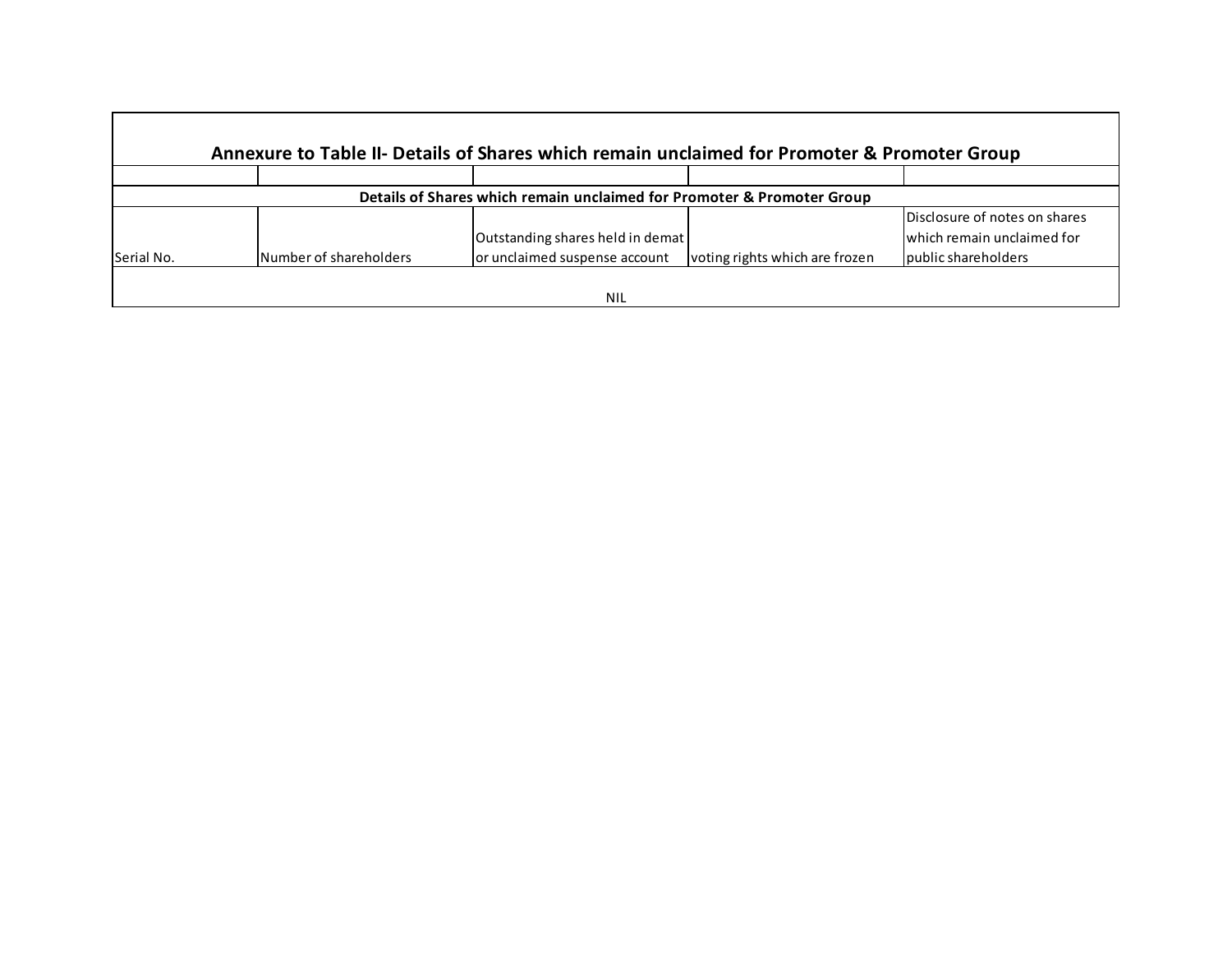|            |                        | Annexure to Table II- Details of Shares which remain unclaimed for Promoter & Promoter Group |                                |                               |
|------------|------------------------|----------------------------------------------------------------------------------------------|--------------------------------|-------------------------------|
|            |                        |                                                                                              |                                |                               |
|            |                        | Details of Shares which remain unclaimed for Promoter & Promoter Group                       |                                |                               |
|            |                        |                                                                                              |                                | Disclosure of notes on shares |
|            |                        | Outstanding shares held in demat                                                             |                                | lwhich remain unclaimed for   |
| Serial No. | Number of shareholders | or unclaimed suspense account                                                                | voting rights which are frozen | public shareholders           |
|            |                        |                                                                                              |                                |                               |
|            |                        | <b>NIL</b>                                                                                   |                                |                               |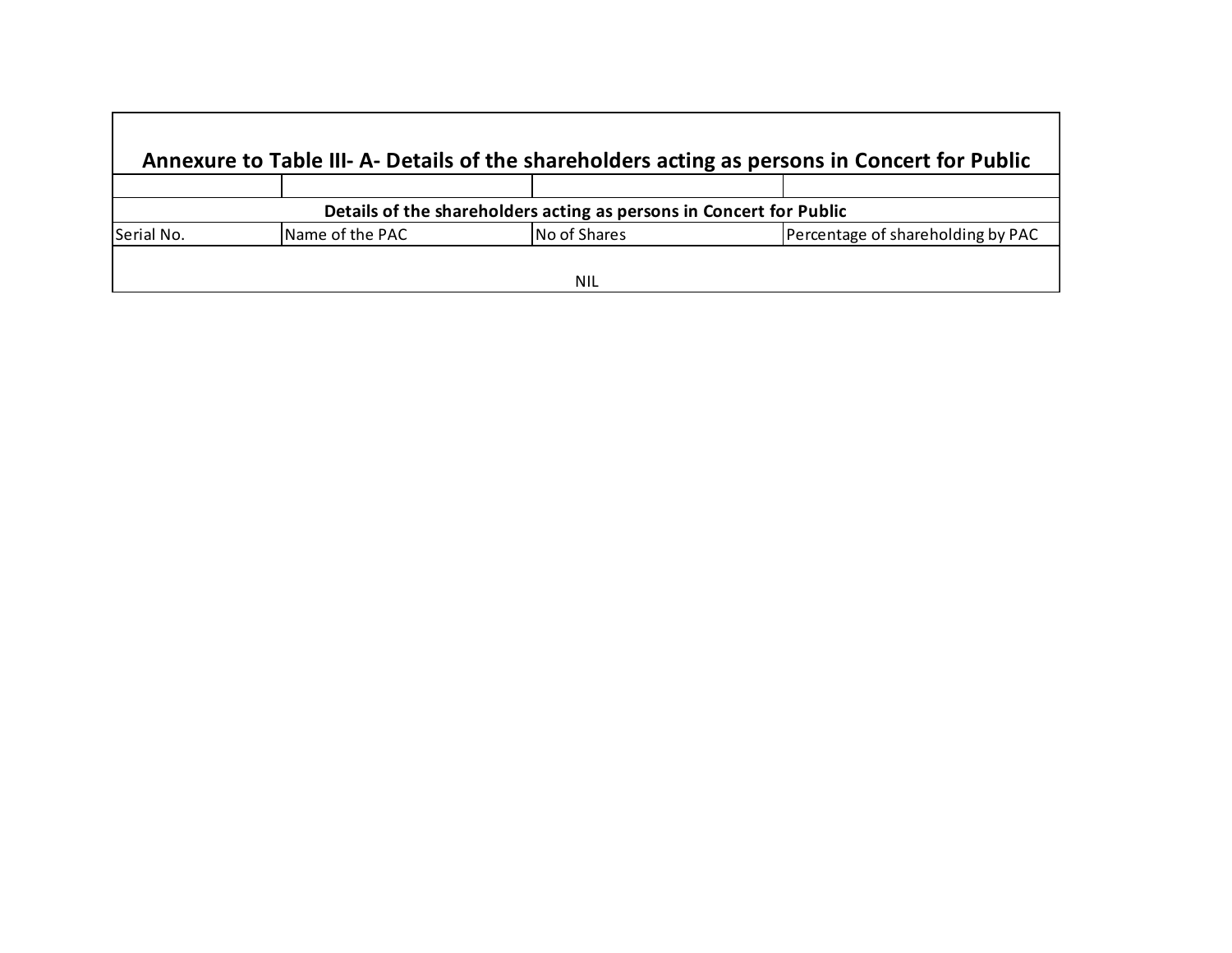| Annexure to Table III- A- Details of the shareholders acting as persons in Concert for Public |              |                                                                            |  |  |  |  |  |
|-----------------------------------------------------------------------------------------------|--------------|----------------------------------------------------------------------------|--|--|--|--|--|
|                                                                                               |              |                                                                            |  |  |  |  |  |
|                                                                                               |              |                                                                            |  |  |  |  |  |
| Name of the PAC                                                                               | No of Shares | Percentage of shareholding by PAC                                          |  |  |  |  |  |
|                                                                                               |              |                                                                            |  |  |  |  |  |
|                                                                                               |              | Details of the shareholders acting as persons in Concert for Public<br>NIL |  |  |  |  |  |